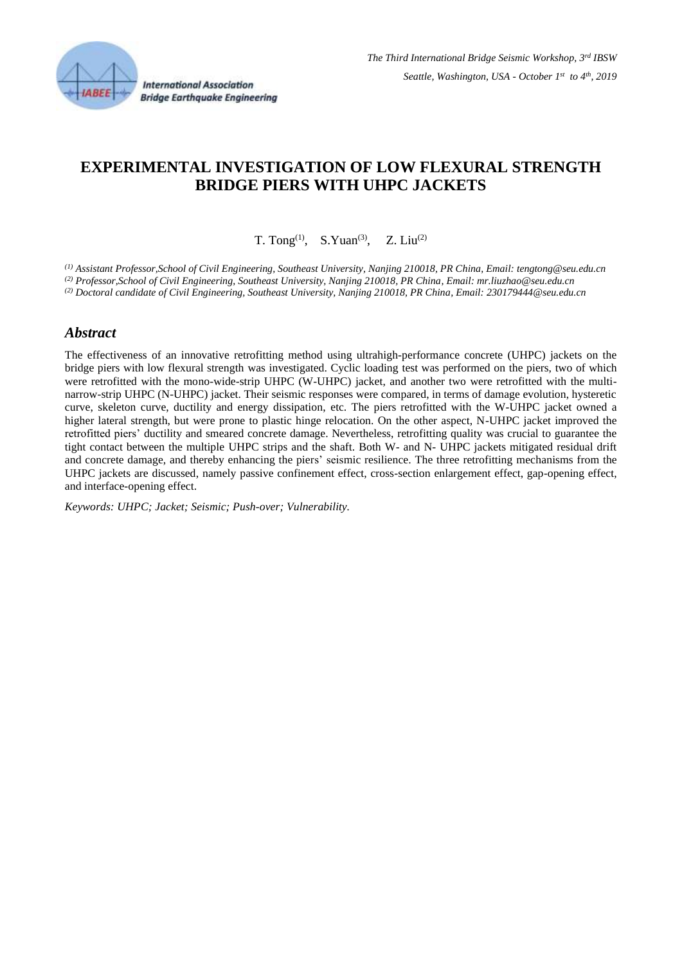

# **EXPERIMENTAL INVESTIGATION OF LOW FLEXURAL STRENGTH BRIDGE PIERS WITH UHPC JACKETS**

T. Tong<sup>(1)</sup>, S. Yuan<sup>(3)</sup>, Z. Liu<sup>(2)</sup>

*(1) Assistant Professor,School of Civil Engineering, Southeast University, Nanjing 210018, PR China, Email: tengtong@seu.edu.cn (2) Professor,School of Civil Engineering, Southeast University, Nanjing 210018, PR China, Email: mr.liuzhao@seu.edu.cn (2) Doctoral candidate of Civil Engineering, Southeast University, Nanjing 210018, PR China, Email: [230179444@seu.edu.cn](mailto:230179444@seu.edu.cn)*

#### *Abstract*

The effectiveness of an innovative retrofitting method using ultrahigh-performance concrete (UHPC) jackets on the bridge piers with low flexural strength was investigated. Cyclic loading test was performed on the piers, two of which were retrofitted with the mono-wide-strip UHPC (W-UHPC) jacket, and another two were retrofitted with the multinarrow-strip UHPC (N-UHPC) jacket. Their seismic responses were compared, in terms of damage evolution, hysteretic curve, skeleton curve, ductility and energy dissipation, etc. The piers retrofitted with the W-UHPC jacket owned a higher lateral strength, but were prone to plastic hinge relocation. On the other aspect, N-UHPC jacket improved the retrofitted piers' ductility and smeared concrete damage. Nevertheless, retrofitting quality was crucial to guarantee the tight contact between the multiple UHPC strips and the shaft. Both W- and N- UHPC jackets mitigated residual drift and concrete damage, and thereby enhancing the piers' seismic resilience. The three retrofitting mechanisms from the UHPC jackets are discussed, namely passive confinement effect, cross-section enlargement effect, gap-opening effect, and interface-opening effect.

*Keywords: UHPC; Jacket; Seismic; Push-over; Vulnerability.*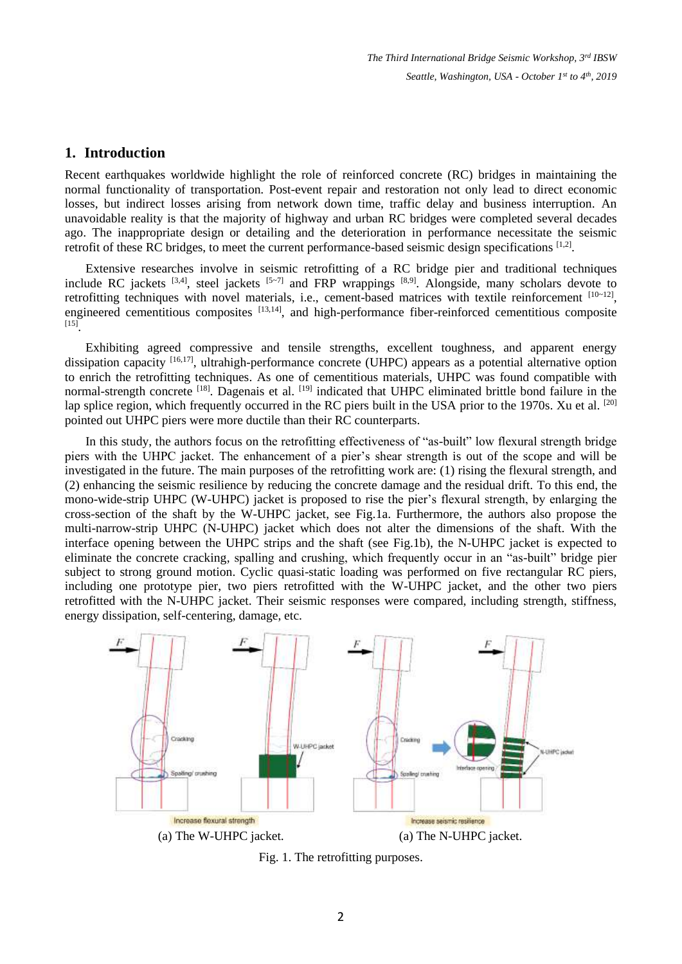#### **1. Introduction**

Recent earthquakes worldwide highlight the role of reinforced concrete (RC) bridges in maintaining the normal functionality of transportation. Post-event repair and restoration not only lead to direct economic losses, but indirect losses arising from network down time, traffic delay and business interruption. An unavoidable reality is that the majority of highway and urban RC bridges were completed several decades ago. The inappropriate design or detailing and the deterioration in performance necessitate the seismic retrofit of these RC bridges, to meet the current performance-based seismic design specifications [1,2].

Extensive researches involve in seismic retrofitting of a RC bridge pier and traditional techniques include RC jackets  $[3,4]$ , steel jackets  $[5-7]$  and FRP wrappings  $[8,9]$ . Alongside, many scholars devote to retrofitting techniques with novel materials, i.e., cement-based matrices with textile reinforcement [10~12], engineered cementitious composites <sup>[13,14]</sup>, and high-performance fiber-reinforced cementitious composite [15] .

Exhibiting agreed compressive and tensile strengths, excellent toughness, and apparent energy dissipation capacity <sup>[16,17]</sup>, ultrahigh-performance concrete (UHPC) appears as a potential alternative option to enrich the retrofitting techniques. As one of cementitious materials, UHPC was found compatible with normal-strength concrete <sup>[18]</sup>. Dagenais et al. <sup>[19]</sup> indicated that UHPC eliminated brittle bond failure in the lap splice region, which frequently occurred in the RC piers built in the USA prior to the 1970s. Xu et al. [20] pointed out UHPC piers were more ductile than their RC counterparts.

In this study, the authors focus on the retrofitting effectiveness of "as-built" low flexural strength bridge piers with the UHPC jacket. The enhancement of a pier's shear strength is out of the scope and will be investigated in the future. The main purposes of the retrofitting work are: (1) rising the flexural strength, and (2) enhancing the seismic resilience by reducing the concrete damage and the residual drift. To this end, the mono-wide-strip UHPC (W-UHPC) jacket is proposed to rise the pier's flexural strength, by enlarging the cross-section of the shaft by the W-UHPC jacket, see Fig.1a. Furthermore, the authors also propose the multi-narrow-strip UHPC (N-UHPC) jacket which does not alter the dimensions of the shaft. With the interface opening between the UHPC strips and the shaft (see Fig.1b), the N-UHPC jacket is expected to eliminate the concrete cracking, spalling and crushing, which frequently occur in an "as-built" bridge pier subject to strong ground motion. Cyclic quasi-static loading was performed on five rectangular RC piers, including one prototype pier, two piers retrofitted with the W-UHPC jacket, and the other two piers retrofitted with the N-UHPC jacket. Their seismic responses were compared, including strength, stiffness, energy dissipation, self-centering, damage, etc.



Fig. 1. The retrofitting purposes.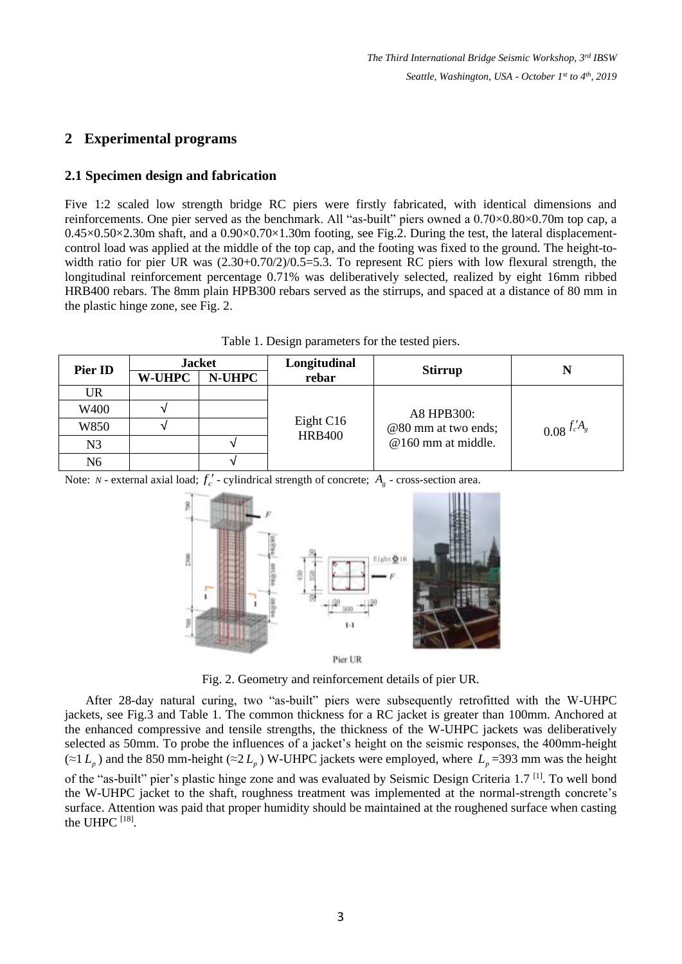## **2 Experimental programs**

#### **2.1 Specimen design and fabrication**

Five 1:2 scaled low strength bridge RC piers were firstly fabricated, with identical dimensions and reinforcements. One pier served as the benchmark. All "as-built" piers owned a 0.70×0.80×0.70m top cap, a  $0.45\times0.50\times2.30$ m shaft, and a  $0.90\times0.70\times1.30$ m footing, see Fig.2. During the test, the lateral displacementcontrol load was applied at the middle of the top cap, and the footing was fixed to the ground. The height-towidth ratio for pier UR was  $(2.30+0.70/2)/0.5=5.3$ . To represent RC piers with low flexural strength, the longitudinal reinforcement percentage 0.71% was deliberatively selected, realized by eight 16mm ribbed HRB400 rebars. The 8mm plain HPB300 rebars served as the stirrups, and spaced at a distance of 80 mm in the plastic hinge zone, see Fig. 2.

Table 1. Design parameters for the tested piers.

| Pier ID        | <b>Jacket</b> |        | Longitudinal               |                     |                           |
|----------------|---------------|--------|----------------------------|---------------------|---------------------------|
|                | <b>W-UHPC</b> | N-UHPC | rebar                      | <b>Stirrup</b>      | N                         |
| UR             |               |        |                            |                     |                           |
| W400           |               |        |                            | A8 HPB300:          |                           |
| W850           |               |        | Eight C16<br><b>HRB400</b> | @80 mm at two ends; | $0.08 \frac{f'_c A_g}{g}$ |
| N <sub>3</sub> |               |        |                            | @160 mm at middle.  |                           |
| N6             |               |        |                            |                     |                           |

Note: *N* - external axial load;  $f'_c$  - cylindrical strength of concrete;  $A_g$  - cross-section area.



Fig. 2. Geometry and reinforcement details of pier UR.

After 28-day natural curing, two "as-built" piers were subsequently retrofitted with the W-UHPC jackets, see Fig.3 and Table 1. The common thickness for a RC jacket is greater than 100mm. Anchored at the enhanced compressive and tensile strengths, the thickness of the W-UHPC jackets was deliberatively selected as 50mm. To probe the influences of a jacket's height on the seismic responses, the 400mm-height (≈1 $L_p$ ) and the 850 mm-height (≈2 $L_p$ ) W-UHPC jackets were employed, where  $L_p$ =393 mm was the height of the "as-built" pier's plastic hinge zone and was evaluated by Seismic Design Criteria 1.7<sup>[1]</sup>. To well bond the W-UHPC jacket to the shaft, roughness treatment was implemented at the normal-strength concrete's surface. Attention was paid that proper humidity should be maintained at the roughened surface when casting the UHPC  $^{[18]}$ .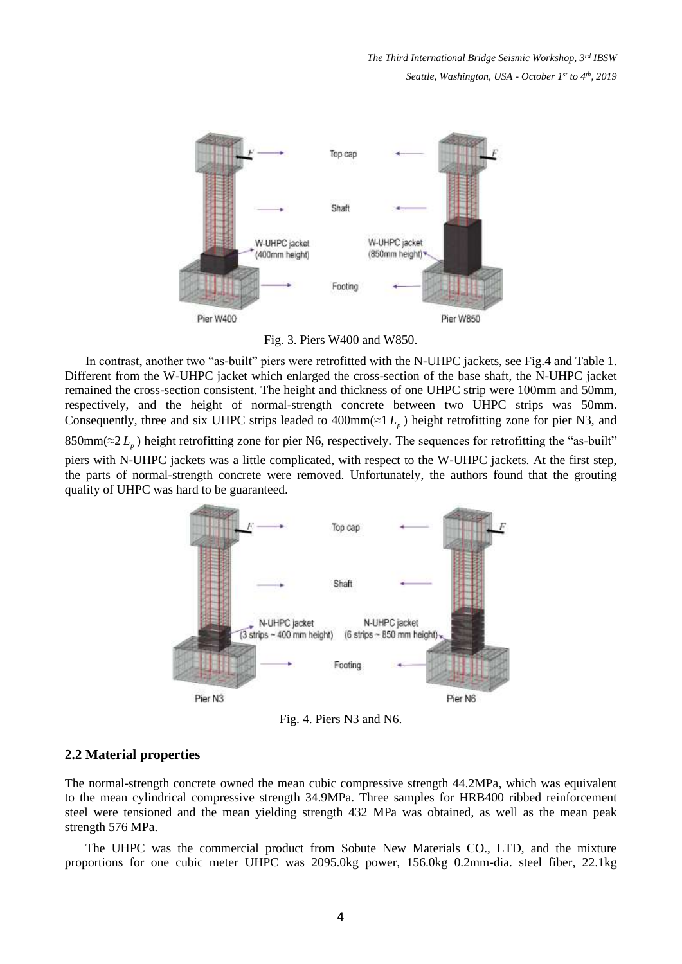*The Third International Bridge Seismic Workshop, 3rd IBSW Seattle, Washington, USA - October 1 st to 4th , 2019*



Fig. 3. Piers W400 and W850.

In contrast, another two "as-built" piers were retrofitted with the N-UHPC jackets, see Fig.4 and Table 1. Different from the W-UHPC jacket which enlarged the cross-section of the base shaft, the N-UHPC jacket remained the cross-section consistent. The height and thickness of one UHPC strip were 100mm and 50mm, respectively, and the height of normal-strength concrete between two UHPC strips was 50mm. Consequently, three and six UHPC strips leaded to  $400 \text{mm} (\approx 1 L_p)$  height retrofitting zone for pier N3, and  $850 \text{mm} (\approx 2 L_p)$  height retrofitting zone for pier N6, respectively. The sequences for retrofitting the "as-built" piers with N-UHPC jackets was a little complicated, with respect to the W-UHPC jackets. At the first step, the parts of normal-strength concrete were removed. Unfortunately, the authors found that the grouting quality of UHPC was hard to be guaranteed.



Fig. 4. Piers N3 and N6.

#### **2.2 Material properties**

The normal-strength concrete owned the mean cubic compressive strength 44.2MPa, which was equivalent to the mean cylindrical compressive strength 34.9MPa. Three samples for HRB400 ribbed reinforcement steel were tensioned and the mean yielding strength 432 MPa was obtained, as well as the mean peak strength 576 MPa.

The UHPC was the commercial product from Sobute New Materials CO., LTD, and the mixture proportions for one cubic meter UHPC was 2095.0kg power, 156.0kg 0.2mm-dia. steel fiber, 22.1kg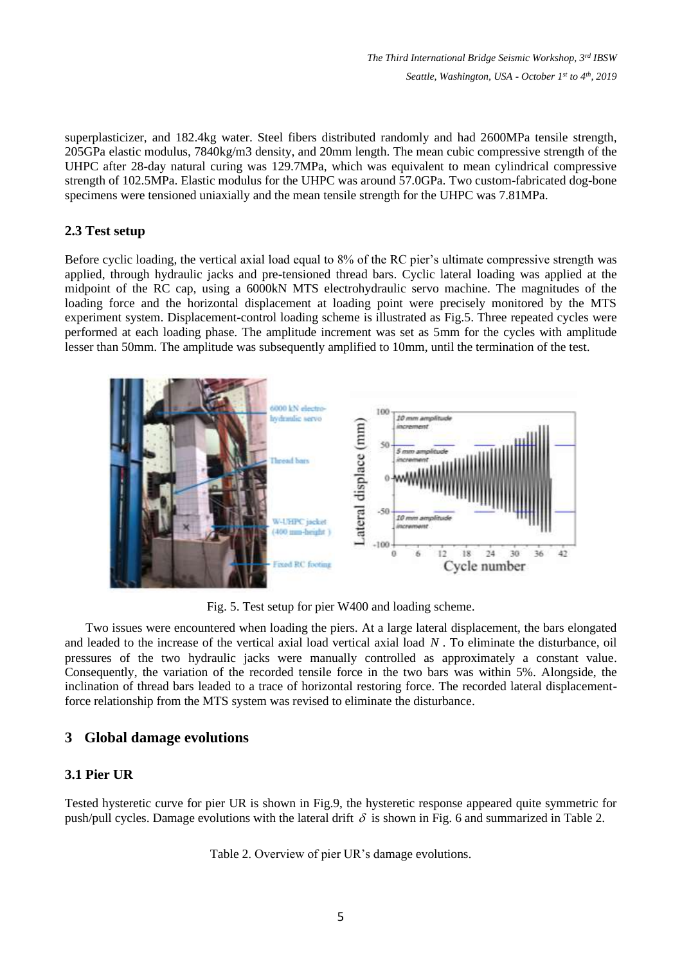*The Third International Bridge Seismic Workshop, 3rd IBSW Seattle, Washington, USA - October 1 st to 4th , 2019*

superplasticizer, and 182.4kg water. Steel fibers distributed randomly and had 2600MPa tensile strength, 205GPa elastic modulus, 7840kg/m3 density, and 20mm length. The mean cubic compressive strength of the UHPC after 28-day natural curing was 129.7MPa, which was equivalent to mean cylindrical compressive strength of 102.5MPa. Elastic modulus for the UHPC was around 57.0GPa. Two custom-fabricated dog-bone specimens were tensioned uniaxially and the mean tensile strength for the UHPC was 7.81MPa.

#### **2.3 Test setup**

Before cyclic loading, the vertical axial load equal to 8% of the RC pier's ultimate compressive strength was applied, through hydraulic jacks and pre-tensioned thread bars. Cyclic lateral loading was applied at the midpoint of the RC cap, using a 6000kN MTS electrohydraulic servo machine. The magnitudes of the loading force and the horizontal displacement at loading point were precisely monitored by the MTS experiment system. Displacement-control loading scheme is illustrated as Fig.5. Three repeated cycles were performed at each loading phase. The amplitude increment was set as 5mm for the cycles with amplitude lesser than 50mm. The amplitude was subsequently amplified to 10mm, until the termination of the test.



Fig. 5. Test setup for pier W400 and loading scheme.

Two issues were encountered when loading the piers. At a large lateral displacement, the bars elongated and leaded to the increase of the vertical axial load vertical axial load *N* . To eliminate the disturbance, oil pressures of the two hydraulic jacks were manually controlled as approximately a constant value. Consequently, the variation of the recorded tensile force in the two bars was within 5%. Alongside, the inclination of thread bars leaded to a trace of horizontal restoring force. The recorded lateral displacementforce relationship from the MTS system was revised to eliminate the disturbance.

### **3 Global damage evolutions**

### **3.1 Pier UR**

Tested hysteretic curve for pier UR is shown in Fig.9, the hysteretic response appeared quite symmetric for push/pull cycles. Damage evolutions with the lateral drift  $\delta$  is shown in Fig. 6 and summarized in Table 2.

Table 2. Overview of pier UR's damage evolutions.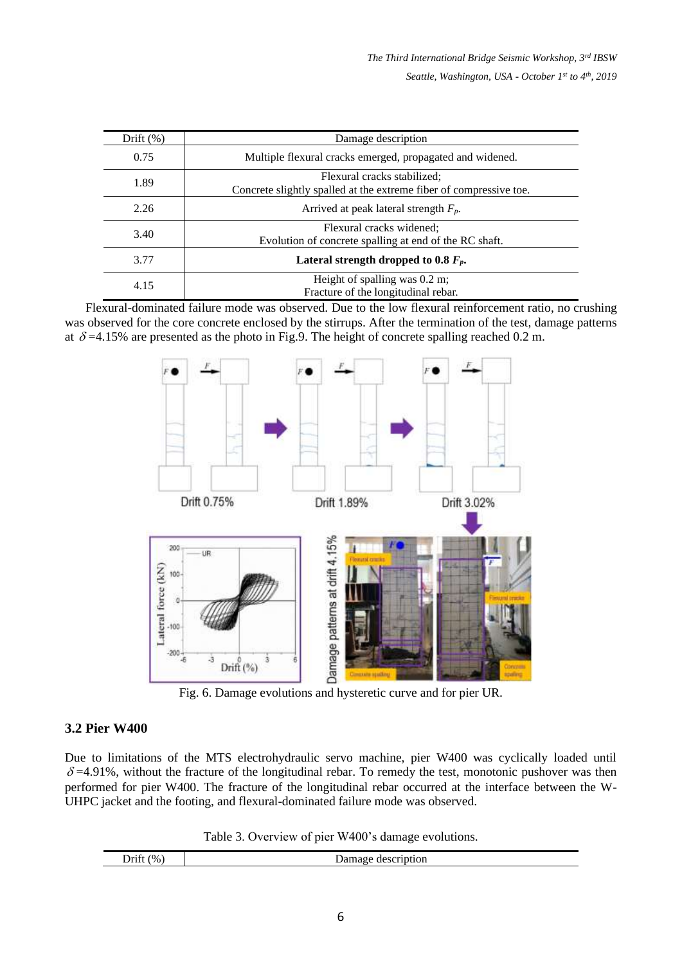| Drift $(\%)$ | Damage description                                                                                |
|--------------|---------------------------------------------------------------------------------------------------|
| 0.75         | Multiple flexural cracks emerged, propagated and widened.                                         |
| 1.89         | Flexural cracks stabilized;<br>Concrete slightly spalled at the extreme fiber of compressive toe. |
| 2.26         | Arrived at peak lateral strength $F_p$ .                                                          |
| 3.40         | Flexural cracks widened;<br>Evolution of concrete spalling at end of the RC shaft.                |
| 3.77         | Lateral strength dropped to 0.8 $F_p$ .                                                           |
| 4.15         | Height of spalling was $0.2$ m;<br>Fracture of the longitudinal rebar.                            |

Flexural-dominated failure mode was observed. Due to the low flexural reinforcement ratio, no crushing was observed for the core concrete enclosed by the stirrups. After the termination of the test, damage patterns at  $\delta$  =4.15% are presented as the photo in Fig.9. The height of concrete spalling reached 0.2 m.



Fig. 6. Damage evolutions and hysteretic curve and for pier UR.

### **3.2 Pier W400**

Due to limitations of the MTS electrohydraulic servo machine, pier W400 was cyclically loaded until  $\delta$  =4.91%, without the fracture of the longitudinal rebar. To remedy the test, monotonic pushover was then performed for pier W400. The fracture of the longitudinal rebar occurred at the interface between the W-UHPC jacket and the footing, and flexural-dominated failure mode was observed.

Table 3. Overview of pier W400's damage evolutions.

| $\cdot$ $\sim$<br>$^{(0)}$<br>$D$ ritt<br> | $\sim$<br>$\sim$ $\sim$<br>TOIT<br>$ -$<br>____ |
|--------------------------------------------|-------------------------------------------------|
|                                            |                                                 |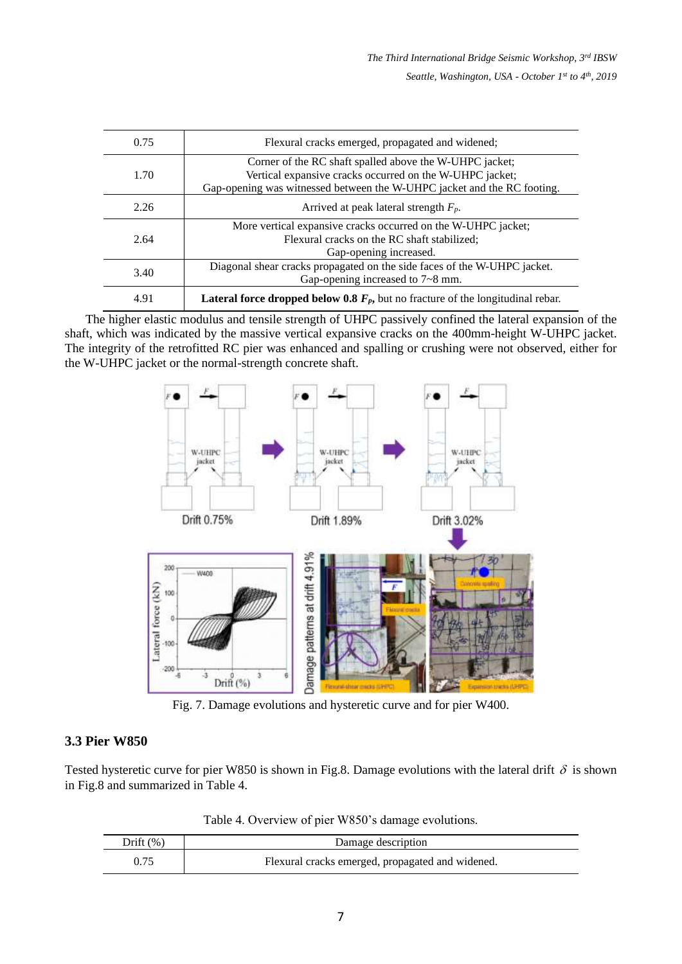| 0.75 | Flexural cracks emerged, propagated and widened;                                                                                                                                               |
|------|------------------------------------------------------------------------------------------------------------------------------------------------------------------------------------------------|
| 1.70 | Corner of the RC shaft spalled above the W-UHPC jacket;<br>Vertical expansive cracks occurred on the W-UHPC jacket;<br>Gap-opening was witnessed between the W-UHPC jacket and the RC footing. |
| 2.26 | Arrived at peak lateral strength $F_p$ .                                                                                                                                                       |
| 2.64 | More vertical expansive cracks occurred on the W-UHPC jacket;<br>Flexural cracks on the RC shaft stabilized;<br>Gap-opening increased.                                                         |
| 3.40 | Diagonal shear cracks propagated on the side faces of the W-UHPC jacket.<br>Gap-opening increased to 7~8 mm.                                                                                   |
| 4.91 | <b>Lateral force dropped below 0.8</b> $F_p$ , but no fracture of the longitudinal rebar.                                                                                                      |

The higher elastic modulus and tensile strength of UHPC passively confined the lateral expansion of the shaft, which was indicated by the massive vertical expansive cracks on the 400mm-height W-UHPC jacket. The integrity of the retrofitted RC pier was enhanced and spalling or crushing were not observed, either for the W-UHPC jacket or the normal-strength concrete shaft.



Fig. 7. Damage evolutions and hysteretic curve and for pier W400.

### **3.3 Pier W850**

Tested hysteretic curve for pier W850 is shown in Fig.8. Damage evolutions with the lateral drift  $\delta$  is shown in Fig.8 and summarized in Table 4.

Table 4. Overview of pier W850's damage evolutions.

| Drift $(\%)$ | Damage description                               |
|--------------|--------------------------------------------------|
| 0.75         | Flexural cracks emerged, propagated and widened. |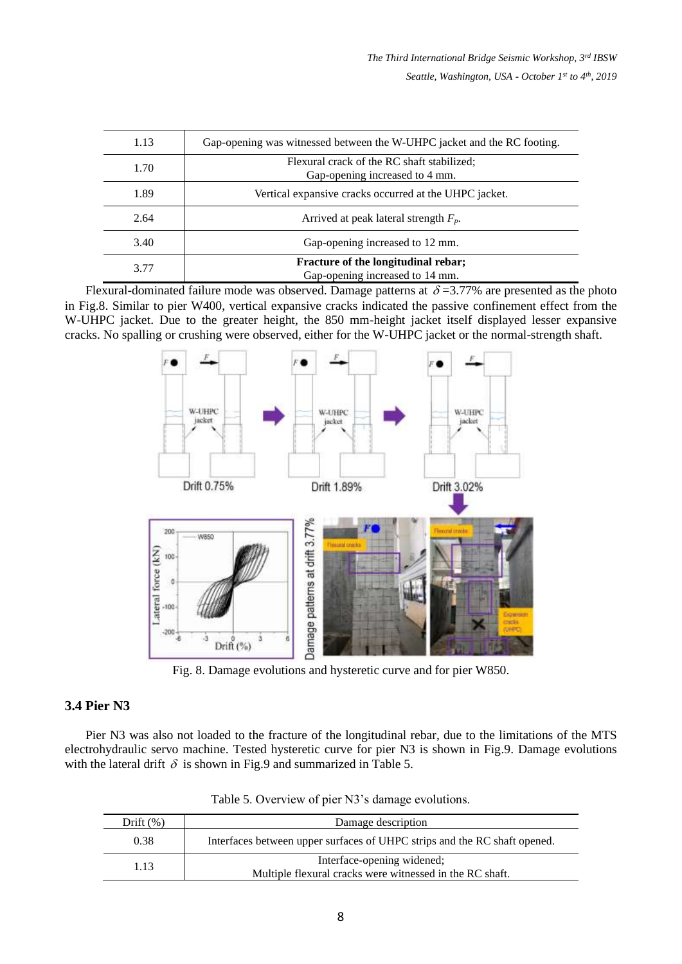| 1.13 | Gap-opening was witnessed between the W-UHPC jacket and the RC footing.      |
|------|------------------------------------------------------------------------------|
| 1.70 | Flexural crack of the RC shaft stabilized;<br>Gap-opening increased to 4 mm. |
| 1.89 | Vertical expansive cracks occurred at the UHPC jacket.                       |
| 2.64 | Arrived at peak lateral strength $F_p$ .                                     |
| 3.40 | Gap-opening increased to 12 mm.                                              |
| 3.77 | Fracture of the longitudinal rebar;<br>Gap-opening increased to 14 mm.       |

Flexural-dominated failure mode was observed. Damage patterns at  $\delta = 3.77\%$  are presented as the photo in Fig.8. Similar to pier W400, vertical expansive cracks indicated the passive confinement effect from the W-UHPC jacket. Due to the greater height, the 850 mm-height jacket itself displayed lesser expansive cracks. No spalling or crushing were observed, either for the W-UHPC jacket or the normal-strength shaft.



Fig. 8. Damage evolutions and hysteretic curve and for pier W850.

### **3.4 Pier N3**

Pier N3 was also not loaded to the fracture of the longitudinal rebar, due to the limitations of the MTS electrohydraulic servo machine. Tested hysteretic curve for pier N3 is shown in Fig.9. Damage evolutions with the lateral drift  $\delta$  is shown in Fig.9 and summarized in Table 5.

| Drift $(\%)$ | Damage description                                                                     |  |  |
|--------------|----------------------------------------------------------------------------------------|--|--|
| 0.38         | Interfaces between upper surfaces of UHPC strips and the RC shaft opened.              |  |  |
| 1.13         | Interface-opening widened;<br>Multiple flexural cracks were witnessed in the RC shaft. |  |  |

Table 5. Overview of pier N3's damage evolutions.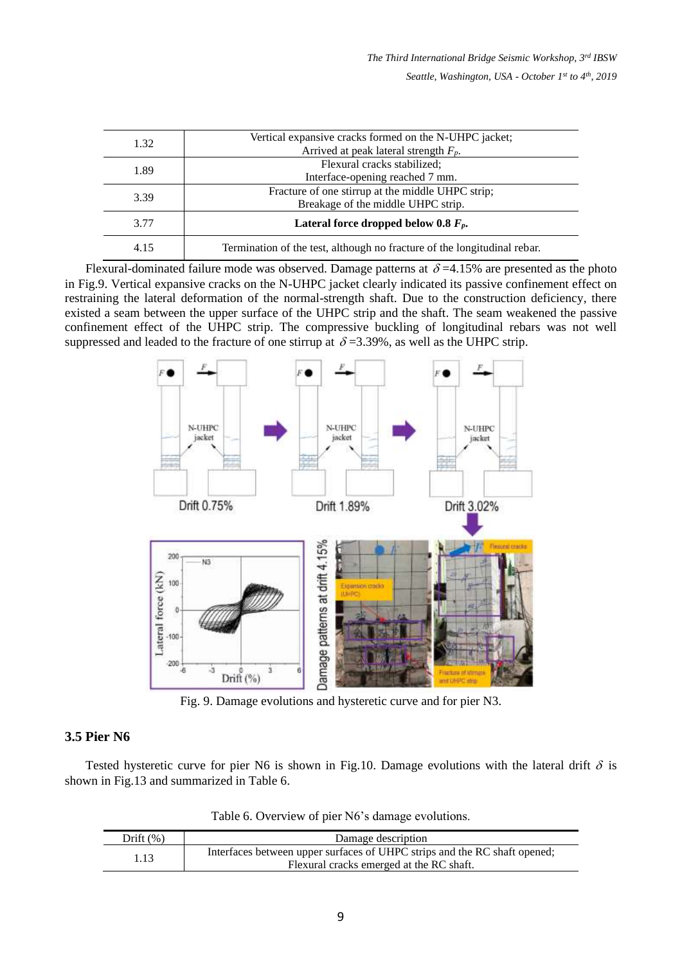| 1.32 | Vertical expansive cracks formed on the N-UHPC jacket;<br>Arrived at peak lateral strength $F_p$ . |
|------|----------------------------------------------------------------------------------------------------|
| 1.89 | Flexural cracks stabilized;<br>Interface-opening reached 7 mm.                                     |
| 3.39 | Fracture of one stirrup at the middle UHPC strip;<br>Breakage of the middle UHPC strip.            |
| 3.77 | Lateral force dropped below 0.8 $F_p$ .                                                            |
| 4.15 | Termination of the test, although no fracture of the longitudinal rebar.                           |

Flexural-dominated failure mode was observed. Damage patterns at  $\delta = 4.15\%$  are presented as the photo in Fig.9. Vertical expansive cracks on the N-UHPC jacket clearly indicated its passive confinement effect on restraining the lateral deformation of the normal-strength shaft. Due to the construction deficiency, there existed a seam between the upper surface of the UHPC strip and the shaft. The seam weakened the passive confinement effect of the UHPC strip. The compressive buckling of longitudinal rebars was not well suppressed and leaded to the fracture of one stirrup at  $\delta = 3.39\%$ , as well as the UHPC strip.



Fig. 9. Damage evolutions and hysteretic curve and for pier N3.

### **3.5 Pier N6**

Tested hysteretic curve for pier N6 is shown in Fig.10. Damage evolutions with the lateral drift  $\delta$  is shown in Fig.13 and summarized in Table 6.

| Table 6. Overview of pier N6's damage evolutions. |
|---------------------------------------------------|
|---------------------------------------------------|

| Drift $(\%)$ | Damage description                                                                                                    |  |  |
|--------------|-----------------------------------------------------------------------------------------------------------------------|--|--|
| 1.13         | Interfaces between upper surfaces of UHPC strips and the RC shaft opened;<br>Flexural cracks emerged at the RC shaft. |  |  |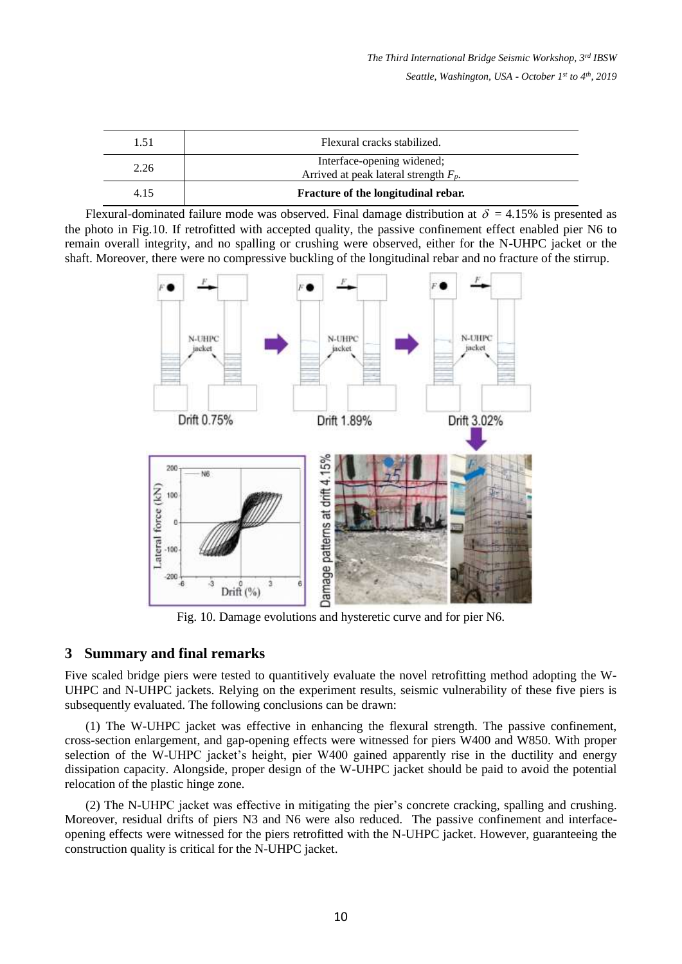| 1.51 | Flexural cracks stabilized.                                            |
|------|------------------------------------------------------------------------|
| 2.26 | Interface-opening widened;<br>Arrived at peak lateral strength $F_p$ . |
| 4.15 | Fracture of the longitudinal rebar.                                    |

Flexural-dominated failure mode was observed. Final damage distribution at  $\delta = 4.15\%$  is presented as the photo in Fig.10. If retrofitted with accepted quality, the passive confinement effect enabled pier N6 to remain overall integrity, and no spalling or crushing were observed, either for the N-UHPC jacket or the shaft. Moreover, there were no compressive buckling of the longitudinal rebar and no fracture of the stirrup.



Fig. 10. Damage evolutions and hysteretic curve and for pier N6.

### **3 Summary and final remarks**

Five scaled bridge piers were tested to quantitively evaluate the novel retrofitting method adopting the W-UHPC and N-UHPC jackets. Relying on the experiment results, seismic vulnerability of these five piers is subsequently evaluated. The following conclusions can be drawn:

(1) The W-UHPC jacket was effective in enhancing the flexural strength. The passive confinement, cross-section enlargement, and gap-opening effects were witnessed for piers W400 and W850. With proper selection of the W-UHPC jacket's height, pier W400 gained apparently rise in the ductility and energy dissipation capacity. Alongside, proper design of the W-UHPC jacket should be paid to avoid the potential relocation of the plastic hinge zone.

(2) The N-UHPC jacket was effective in mitigating the pier's concrete cracking, spalling and crushing. Moreover, residual drifts of piers N3 and N6 were also reduced. The passive confinement and interfaceopening effects were witnessed for the piers retrofitted with the N-UHPC jacket. However, guaranteeing the construction quality is critical for the N-UHPC jacket.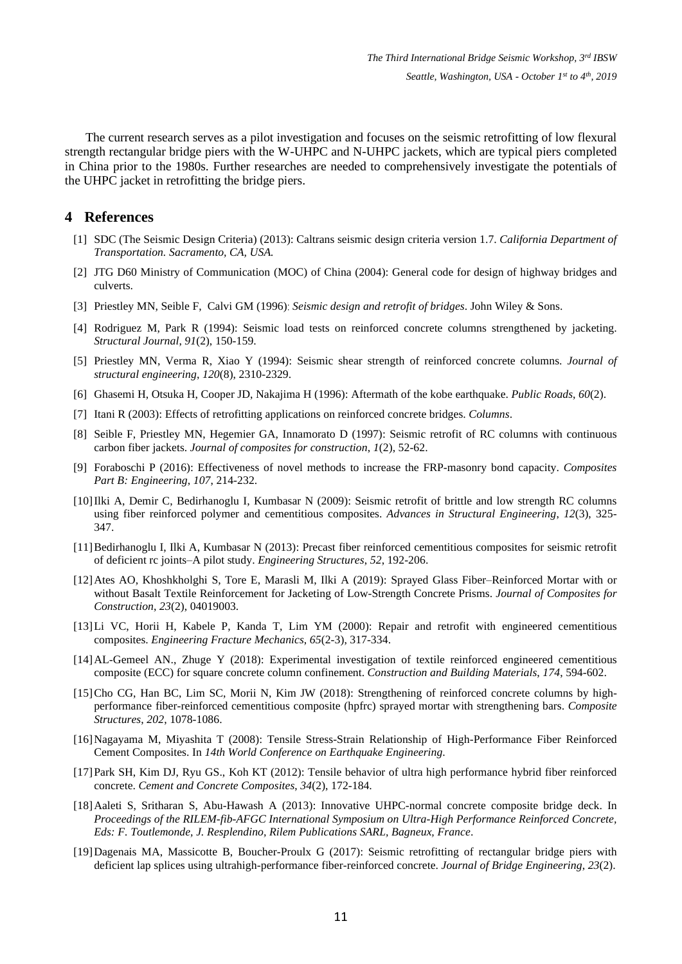The current research serves as a pilot investigation and focuses on the seismic retrofitting of low flexural strength rectangular bridge piers with the W-UHPC and N-UHPC jackets, which are typical piers completed in China prior to the 1980s. Further researches are needed to comprehensively investigate the potentials of the UHPC jacket in retrofitting the bridge piers.

#### **4 References**

- [1] SDC (The Seismic Design Criteria) (2013): Caltrans seismic design criteria version 1.7. *California Department of Transportation. Sacramento, CA, USA.*
- [2] JTG D60 Ministry of Communication (MOC) of China (2004): General code for design of highway bridges and culverts.
- [3] Priestley MN, Seible F, Calvi GM (1996): *Seismic design and retrofit of bridges*. John Wiley & Sons.
- [4] Rodriguez M, Park R (1994): Seismic load tests on reinforced concrete columns strengthened by jacketing. *Structural Journal*, *91*(2), 150-159.
- [5] Priestley MN, Verma R, Xiao Y (1994): Seismic shear strength of reinforced concrete columns. *Journal of structural engineering*, *120*(8), 2310-2329.
- [6] Ghasemi H, Otsuka H, Cooper JD, Nakajima H (1996): Aftermath of the kobe earthquake. *Public Roads*, *60*(2).
- [7] Itani R (2003): Effects of retrofitting applications on reinforced concrete bridges. *Columns*.
- [8] Seible F, Priestley MN, Hegemier GA, Innamorato D (1997): Seismic retrofit of RC columns with continuous carbon fiber jackets. *Journal of composites for construction*, *1*(2), 52-62.
- [9] Foraboschi P (2016): Effectiveness of novel methods to increase the FRP-masonry bond capacity. *Composites Part B: Engineering*, *107*, 214-232.
- [10]Ilki A, Demir C, Bedirhanoglu I, Kumbasar N (2009): Seismic retrofit of brittle and low strength RC columns using fiber reinforced polymer and cementitious composites. *Advances in Structural Engineering*, *12*(3), 325- 347.
- [11]Bedirhanoglu I, Ilki A, Kumbasar N (2013): Precast fiber reinforced cementitious composites for seismic retrofit of deficient rc joints–A pilot study. *Engineering Structures*, *52*, 192-206.
- [12]Ates AO, Khoshkholghi S, Tore E, Marasli M, Ilki A (2019): Sprayed Glass Fiber–Reinforced Mortar with or without Basalt Textile Reinforcement for Jacketing of Low-Strength Concrete Prisms. *Journal of Composites for Construction*, *23*(2), 04019003.
- [13]Li VC, Horii H, Kabele P, Kanda T, Lim YM (2000): Repair and retrofit with engineered cementitious composites. *Engineering Fracture Mechanics*, *65*(2-3), 317-334.
- [14]AL-Gemeel AN., Zhuge Y (2018): Experimental investigation of textile reinforced engineered cementitious composite (ECC) for square concrete column confinement. *Construction and Building Materials*, *174*, 594-602.
- [15]Cho CG, Han BC, Lim SC, Morii N, Kim JW (2018): Strengthening of reinforced concrete columns by highperformance fiber-reinforced cementitious composite (hpfrc) sprayed mortar with strengthening bars. *Composite Structures*, *202*, 1078-1086.
- [16]Nagayama M, Miyashita T (2008): Tensile Stress-Strain Relationship of High-Performance Fiber Reinforced Cement Composites. In *14th World Conference on Earthquake Engineering*.
- [17]Park SH, Kim DJ, Ryu GS., Koh KT (2012): Tensile behavior of ultra high performance hybrid fiber reinforced concrete. *Cement and Concrete Composites*, *34*(2), 172-184.
- [18]Aaleti S, Sritharan S, Abu-Hawash A (2013): Innovative UHPC-normal concrete composite bridge deck. In *Proceedings of the RILEM-fib-AFGC International Symposium on Ultra-High Performance Reinforced Concrete, Eds: F. Toutlemonde, J. Resplendino, Rilem Publications SARL, Bagneux, France*.
- [19]Dagenais MA, Massicotte B, Boucher-Proulx G (2017): Seismic retrofitting of rectangular bridge piers with deficient lap splices using ultrahigh-performance fiber-reinforced concrete. *Journal of Bridge Engineering*, *23*(2).